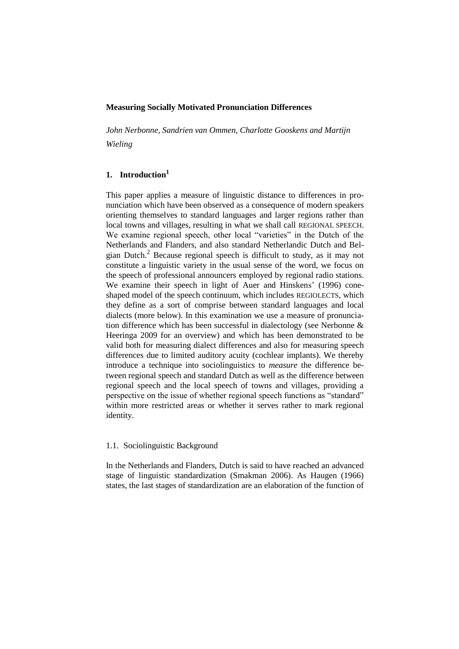# **Measuring Socially Motivated Pronunciation Differences**

*John Nerbonne, Sandrien van Ommen, Charlotte Gooskens and Martijn Wieling*

# **1. Introduction<sup>1</sup>**

This paper applies a measure of linguistic distance to differences in pronunciation which have been observed as a consequence of modern speakers orienting themselves to standard languages and larger regions rather than local towns and villages, resulting in what we shall call REGIONAL SPEECH. We examine regional speech, other local "varieties" in the Dutch of the Netherlands and Flanders, and also standard Netherlandic Dutch and Belgian Dutch.<sup>2</sup> Because regional speech is difficult to study, as it may not constitute a linguistic variety in the usual sense of the word, we focus on the speech of professional announcers employed by regional radio stations. We examine their speech in light of Auer and Hinskens' (1996) coneshaped model of the speech continuum, which includes REGIOLECTS, which they define as a sort of comprise between standard languages and local dialects (more below). In this examination we use a measure of pronunciation difference which has been successful in dialectology (see Nerbonne & Heeringa 2009 for an overview) and which has been demonstrated to be valid both for measuring dialect differences and also for measuring speech differences due to limited auditory acuity (cochlear implants). We thereby introduce a technique into sociolinguistics to *measure* the difference between regional speech and standard Dutch as well as the difference between regional speech and the local speech of towns and villages, providing a perspective on the issue of whether regional speech functions as "standard" within more restricted areas or whether it serves rather to mark regional identity.

# 1.1. Sociolinguistic Background

In the Netherlands and Flanders, Dutch is said to have reached an advanced stage of linguistic standardization (Smakman 2006). As Haugen (1966) states, the last stages of standardization are an elaboration of the function of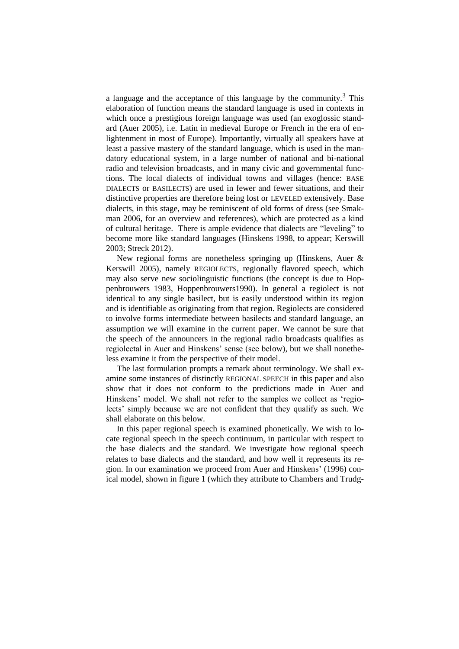a language and the acceptance of this language by the community.<sup>3</sup> This elaboration of function means the standard language is used in contexts in which once a prestigious foreign language was used (an exoglossic standard (Auer 2005), i.e. Latin in medieval Europe or French in the era of enlightenment in most of Europe). Importantly, virtually all speakers have at least a passive mastery of the standard language, which is used in the mandatory educational system, in a large number of national and bi-national radio and television broadcasts, and in many civic and governmental functions. The local dialects of individual towns and villages (hence: BASE DIALECTS or BASILECTS) are used in fewer and fewer situations, and their distinctive properties are therefore being lost or LEVELED extensively. Base dialects, in this stage, may be reminiscent of old forms of dress (see Smakman 2006, for an overview and references), which are protected as a kind of cultural heritage. There is ample evidence that dialects are "leveling" to become more like standard languages (Hinskens 1998, to appear; Kerswill 2003; Streck 2012).

New regional forms are nonetheless springing up (Hinskens, Auer & Kerswill 2005), namely REGIOLECTS, regionally flavored speech, which may also serve new sociolinguistic functions (the concept is due to Hoppenbrouwers 1983, Hoppenbrouwers1990). In general a regiolect is not identical to any single basilect, but is easily understood within its region and is identifiable as originating from that region. Regiolects are considered to involve forms intermediate between basilects and standard language, an assumption we will examine in the current paper. We cannot be sure that the speech of the announcers in the regional radio broadcasts qualifies as regiolectal in Auer and Hinskens' sense (see below), but we shall nonetheless examine it from the perspective of their model.

The last formulation prompts a remark about terminology. We shall examine some instances of distinctly REGIONAL SPEECH in this paper and also show that it does not conform to the predictions made in Auer and Hinskens' model. We shall not refer to the samples we collect as 'regiolects' simply because we are not confident that they qualify as such. We shall elaborate on this below.

In this paper regional speech is examined phonetically. We wish to locate regional speech in the speech continuum, in particular with respect to the base dialects and the standard. We investigate how regional speech relates to base dialects and the standard, and how well it represents its region. In our examination we proceed from Auer and Hinskens' (1996) conical model, shown in figure 1 (which they attribute to Chambers and Trudg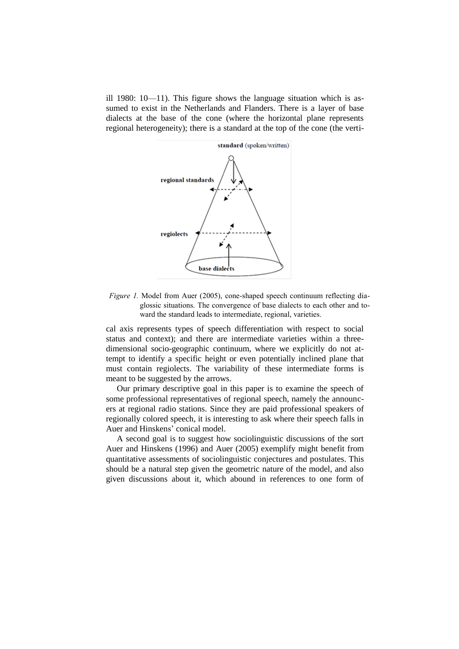ill 1980: 10—11). This figure shows the language situation which is assumed to exist in the Netherlands and Flanders. There is a layer of base dialects at the base of the cone (where the horizontal plane represents regional heterogeneity); there is a standard at the top of the cone (the verti-



*Figure 1.* Model from Auer (2005), cone-shaped speech continuum reflecting diaglossic situations. The convergence of base dialects to each other and toward the standard leads to intermediate, regional, varieties.

cal axis represents types of speech differentiation with respect to social status and context); and there are intermediate varieties within a threedimensional socio-geographic continuum, where we explicitly do not attempt to identify a specific height or even potentially inclined plane that must contain regiolects. The variability of these intermediate forms is meant to be suggested by the arrows.

Our primary descriptive goal in this paper is to examine the speech of some professional representatives of regional speech, namely the announcers at regional radio stations. Since they are paid professional speakers of regionally colored speech, it is interesting to ask where their speech falls in Auer and Hinskens' conical model.

A second goal is to suggest how sociolinguistic discussions of the sort Auer and Hinskens (1996) and Auer (2005) exemplify might benefit from quantitative assessments of sociolinguistic conjectures and postulates. This should be a natural step given the geometric nature of the model, and also given discussions about it, which abound in references to one form of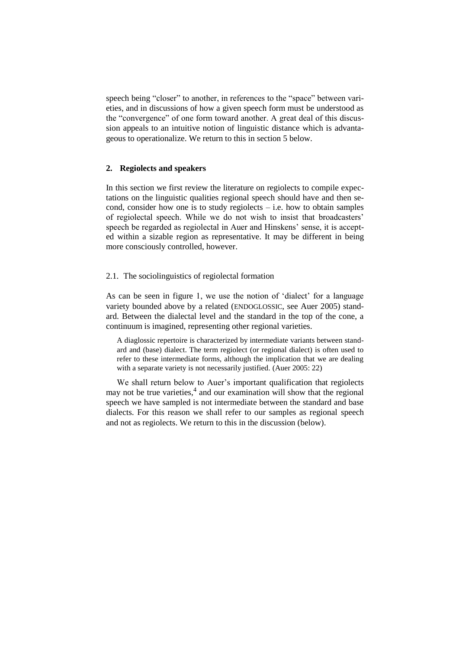speech being "closer" to another, in references to the "space" between varieties, and in discussions of how a given speech form must be understood as the "convergence" of one form toward another. A great deal of this discussion appeals to an intuitive notion of linguistic distance which is advantageous to operationalize. We return to this in section 5 below.

#### **2. Regiolects and speakers**

In this section we first review the literature on regiolects to compile expectations on the linguistic qualities regional speech should have and then second, consider how one is to study regiolects  $-$  i.e. how to obtain samples of regiolectal speech. While we do not wish to insist that broadcasters' speech be regarded as regiolectal in Auer and Hinskens' sense, it is accepted within a sizable region as representative. It may be different in being more consciously controlled, however.

#### 2.1. The sociolinguistics of regiolectal formation

As can be seen in figure 1, we use the notion of 'dialect' for a language variety bounded above by a related (ENDOGLOSSIC, see Auer 2005) standard. Between the dialectal level and the standard in the top of the cone, a continuum is imagined, representing other regional varieties.

A diaglossic repertoire is characterized by intermediate variants between standard and (base) dialect. The term regiolect (or regional dialect) is often used to refer to these intermediate forms, although the implication that we are dealing with a separate variety is not necessarily justified*.* (Auer 2005: 22)

We shall return below to Auer's important qualification that regiolects may not be true varieties, $4$  and our examination will show that the regional speech we have sampled is not intermediate between the standard and base dialects. For this reason we shall refer to our samples as regional speech and not as regiolects. We return to this in the discussion (below).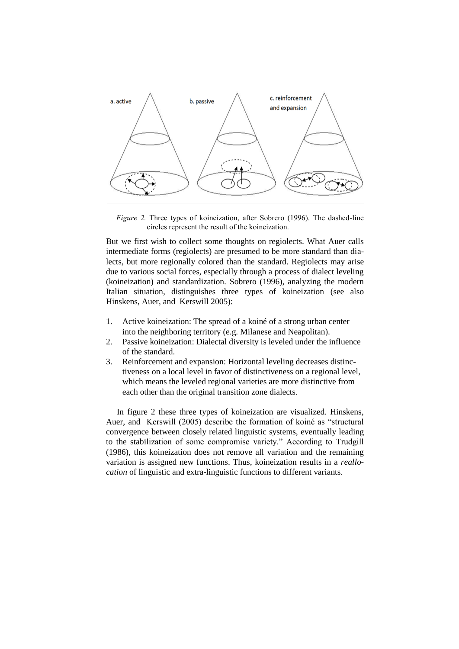

*Figure 2.* Three types of koineization, after Sobrero (1996). The dashed-line circles represent the result of the koineization.

But we first wish to collect some thoughts on regiolects. What Auer calls intermediate forms (regiolects) are presumed to be more standard than dialects, but more regionally colored than the standard. Regiolects may arise due to various social forces, especially through a process of dialect leveling (koineization) and standardization. Sobrero (1996), analyzing the modern Italian situation, distinguishes three types of koineization (see also Hinskens, Auer, and Kerswill 2005):

- 1. Active koineization: The spread of a koiné of a strong urban center into the neighboring territory (e.g. Milanese and Neapolitan).
- 2. Passive koineization: Dialectal diversity is leveled under the influence of the standard.
- 3. Reinforcement and expansion: Horizontal leveling decreases distinctiveness on a local level in favor of distinctiveness on a regional level, which means the leveled regional varieties are more distinctive from each other than the original transition zone dialects.

In figure 2 these three types of koineization are visualized. Hinskens, Auer, and Kerswill (2005) describe the formation of koiné as "structural convergence between closely related linguistic systems, eventually leading to the stabilization of some compromise variety." According to Trudgill (1986), this koineization does not remove all variation and the remaining variation is assigned new functions. Thus, koineization results in a *reallocation* of linguistic and extra-linguistic functions to different variants.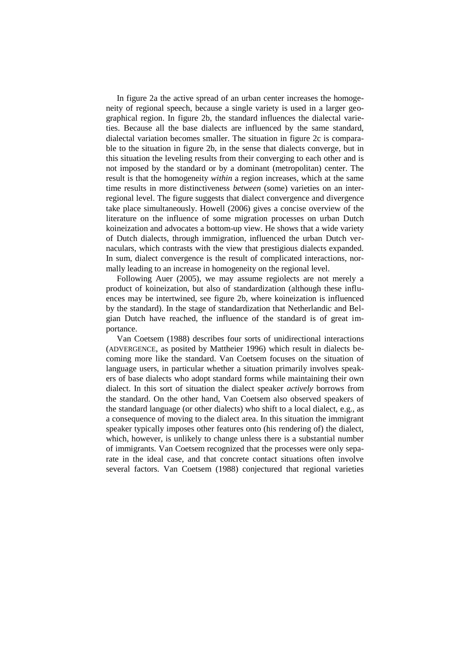In figure 2a the active spread of an urban center increases the homogeneity of regional speech, because a single variety is used in a larger geographical region. In figure 2b, the standard influences the dialectal varieties. Because all the base dialects are influenced by the same standard, dialectal variation becomes smaller. The situation in figure 2c is comparable to the situation in figure 2b, in the sense that dialects converge, but in this situation the leveling results from their converging to each other and is not imposed by the standard or by a dominant (metropolitan) center. The result is that the homogeneity *within* a region increases, which at the same time results in more distinctiveness *between* (some) varieties on an interregional level. The figure suggests that dialect convergence and divergence take place simultaneously. Howell (2006) gives a concise overview of the literature on the influence of some migration processes on urban Dutch koineization and advocates a bottom-up view. He shows that a wide variety of Dutch dialects, through immigration, influenced the urban Dutch vernaculars, which contrasts with the view that prestigious dialects expanded. In sum, dialect convergence is the result of complicated interactions, normally leading to an increase in homogeneity on the regional level.

Following Auer (2005), we may assume regiolects are not merely a product of koineization, but also of standardization (although these influences may be intertwined, see figure 2b, where koineization is influenced by the standard). In the stage of standardization that Netherlandic and Belgian Dutch have reached, the influence of the standard is of great importance.

Van Coetsem (1988) describes four sorts of unidirectional interactions (ADVERGENCE, as posited by Mattheier 1996) which result in dialects becoming more like the standard. Van Coetsem focuses on the situation of language users, in particular whether a situation primarily involves speakers of base dialects who adopt standard forms while maintaining their own dialect. In this sort of situation the dialect speaker *actively* borrows from the standard. On the other hand, Van Coetsem also observed speakers of the standard language (or other dialects) who shift to a local dialect, e.g., as a consequence of moving to the dialect area. In this situation the immigrant speaker typically imposes other features onto (his rendering of) the dialect, which, however, is unlikely to change unless there is a substantial number of immigrants. Van Coetsem recognized that the processes were only separate in the ideal case, and that concrete contact situations often involve several factors. Van Coetsem (1988) conjectured that regional varieties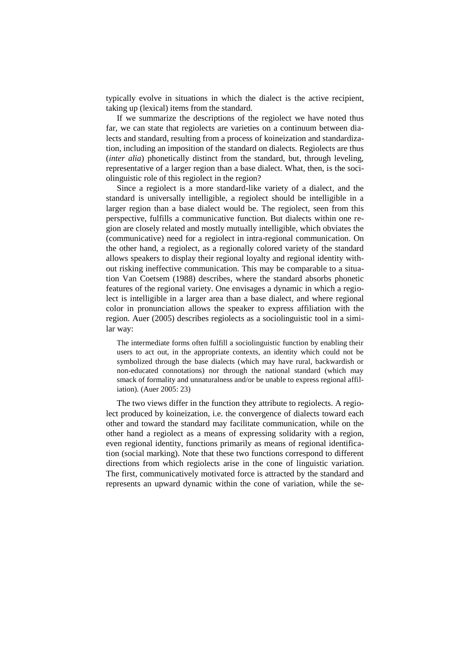typically evolve in situations in which the dialect is the active recipient, taking up (lexical) items from the standard.

If we summarize the descriptions of the regiolect we have noted thus far, we can state that regiolects are varieties on a continuum between dialects and standard, resulting from a process of koineization and standardization, including an imposition of the standard on dialects. Regiolects are thus (*inter alia*) phonetically distinct from the standard, but, through leveling, representative of a larger region than a base dialect. What, then, is the sociolinguistic role of this regiolect in the region?

Since a regiolect is a more standard-like variety of a dialect, and the standard is universally intelligible, a regiolect should be intelligible in a larger region than a base dialect would be. The regiolect, seen from this perspective, fulfills a communicative function. But dialects within one region are closely related and mostly mutually intelligible, which obviates the (communicative) need for a regiolect in intra-regional communication. On the other hand, a regiolect, as a regionally colored variety of the standard allows speakers to display their regional loyalty and regional identity without risking ineffective communication. This may be comparable to a situation Van Coetsem (1988) describes, where the standard absorbs phonetic features of the regional variety. One envisages a dynamic in which a regiolect is intelligible in a larger area than a base dialect, and where regional color in pronunciation allows the speaker to express affiliation with the region. Auer (2005) describes regiolects as a sociolinguistic tool in a similar way:

The intermediate forms often fulfill a sociolinguistic function by enabling their users to act out, in the appropriate contexts, an identity which could not be symbolized through the base dialects (which may have rural, backwardish or non-educated connotations) nor through the national standard (which may smack of formality and unnaturalness and/or be unable to express regional affiliation)*.* (Auer 2005: 23)

The two views differ in the function they attribute to regiolects. A regiolect produced by koineization, i.e. the convergence of dialects toward each other and toward the standard may facilitate communication, while on the other hand a regiolect as a means of expressing solidarity with a region, even regional identity, functions primarily as means of regional identification (social marking). Note that these two functions correspond to different directions from which regiolects arise in the cone of linguistic variation. The first, communicatively motivated force is attracted by the standard and represents an upward dynamic within the cone of variation, while the se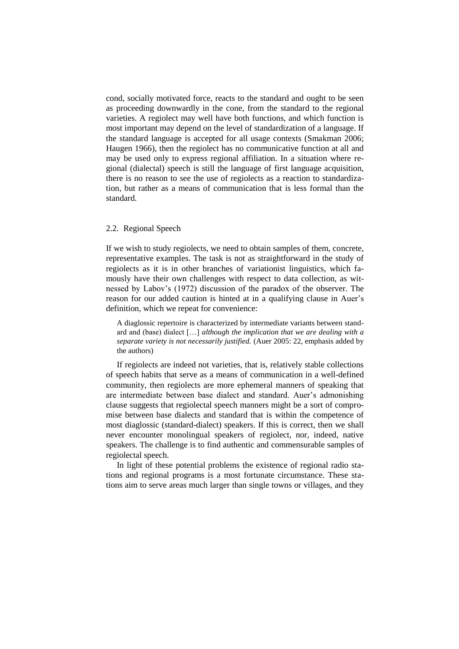cond, socially motivated force, reacts to the standard and ought to be seen as proceeding downwardly in the cone, from the standard to the regional varieties. A regiolect may well have both functions, and which function is most important may depend on the level of standardization of a language. If the standard language is accepted for all usage contexts (Smakman 2006; Haugen 1966), then the regiolect has no communicative function at all and may be used only to express regional affiliation. In a situation where regional (dialectal) speech is still the language of first language acquisition, there is no reason to see the use of regiolects as a reaction to standardization, but rather as a means of communication that is less formal than the standard.

## 2.2. Regional Speech

If we wish to study regiolects, we need to obtain samples of them, concrete, representative examples. The task is not as straightforward in the study of regiolects as it is in other branches of variationist linguistics, which famously have their own challenges with respect to data collection, as witnessed by Labov's (1972) discussion of the paradox of the observer. The reason for our added caution is hinted at in a qualifying clause in Auer's definition, which we repeat for convenience:

A diaglossic repertoire is characterized by intermediate variants between standard and (base) dialect […] *although the implication that we are dealing with a separate variety is not necessarily justified.* (Auer 2005: 22, emphasis added by the authors)

If regiolects are indeed not varieties, that is, relatively stable collections of speech habits that serve as a means of communication in a well-defined community, then regiolects are more ephemeral manners of speaking that are intermediate between base dialect and standard. Auer's admonishing clause suggests that regiolectal speech manners might be a sort of compromise between base dialects and standard that is within the competence of most diaglossic (standard-dialect) speakers. If this is correct, then we shall never encounter monolingual speakers of regiolect, nor, indeed, native speakers. The challenge is to find authentic and commensurable samples of regiolectal speech.

In light of these potential problems the existence of regional radio stations and regional programs is a most fortunate circumstance. These stations aim to serve areas much larger than single towns or villages, and they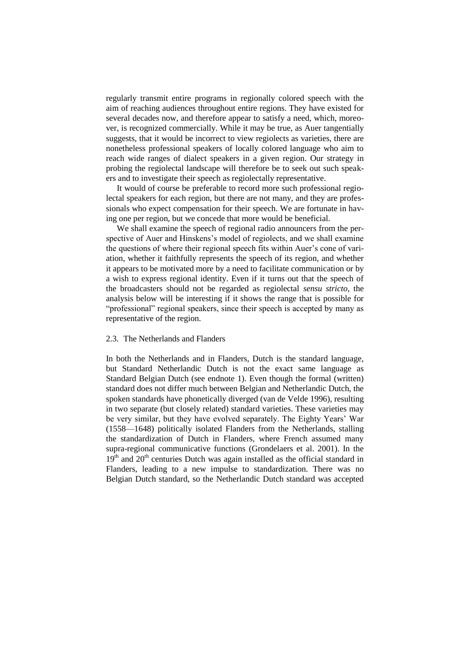regularly transmit entire programs in regionally colored speech with the aim of reaching audiences throughout entire regions. They have existed for several decades now, and therefore appear to satisfy a need, which, moreover, is recognized commercially. While it may be true, as Auer tangentially suggests, that it would be incorrect to view regiolects as varieties, there are nonetheless professional speakers of locally colored language who aim to reach wide ranges of dialect speakers in a given region. Our strategy in probing the regiolectal landscape will therefore be to seek out such speakers and to investigate their speech as regiolectally representative.

It would of course be preferable to record more such professional regiolectal speakers for each region, but there are not many, and they are professionals who expect compensation for their speech. We are fortunate in having one per region, but we concede that more would be beneficial.

We shall examine the speech of regional radio announcers from the perspective of Auer and Hinskens's model of regiolects, and we shall examine the questions of where their regional speech fits within Auer's cone of variation, whether it faithfully represents the speech of its region, and whether it appears to be motivated more by a need to facilitate communication or by a wish to express regional identity. Even if it turns out that the speech of the broadcasters should not be regarded as regiolectal *sensu stricto*, the analysis below will be interesting if it shows the range that is possible for "professional" regional speakers, since their speech is accepted by many as representative of the region.

#### 2.3. The Netherlands and Flanders

In both the Netherlands and in Flanders, Dutch is the standard language, but Standard Netherlandic Dutch is not the exact same language as Standard Belgian Dutch (see endnote 1). Even though the formal (written) standard does not differ much between Belgian and Netherlandic Dutch, the spoken standards have phonetically diverged (van de Velde 1996), resulting in two separate (but closely related) standard varieties. These varieties may be very similar, but they have evolved separately. The Eighty Years' War (1558—1648) politically isolated Flanders from the Netherlands, stalling the standardization of Dutch in Flanders, where French assumed many supra-regional communicative functions (Grondelaers et al. 2001). In the  $19<sup>th</sup>$  and  $20<sup>th</sup>$  centuries Dutch was again installed as the official standard in Flanders, leading to a new impulse to standardization. There was no Belgian Dutch standard, so the Netherlandic Dutch standard was accepted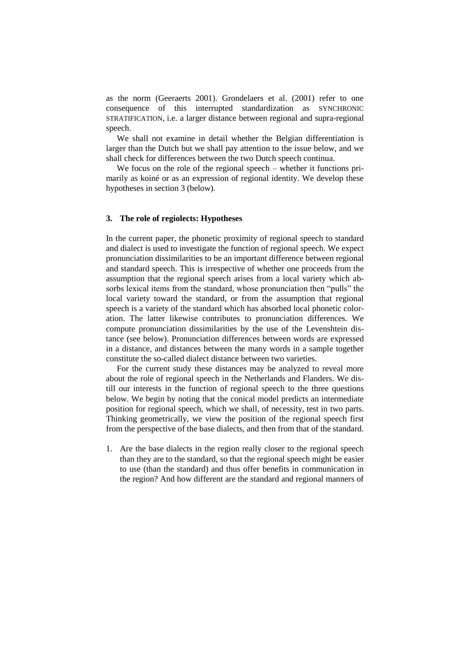as the norm (Geeraerts 2001). Grondelaers et al. (2001) refer to one consequence of this interrupted standardization as SYNCHRONIC STRATIFICATION, i.e. a larger distance between regional and supra-regional speech.

We shall not examine in detail whether the Belgian differentiation is larger than the Dutch but we shall pay attention to the issue below, and we shall check for differences between the two Dutch speech continua.

We focus on the role of the regional speech – whether it functions primarily as koiné or as an expression of regional identity. We develop these hypotheses in section 3 (below).

### **3. The role of regiolects: Hypotheses**

In the current paper, the phonetic proximity of regional speech to standard and dialect is used to investigate the function of regional speech. We expect pronunciation dissimilarities to be an important difference between regional and standard speech. This is irrespective of whether one proceeds from the assumption that the regional speech arises from a local variety which absorbs lexical items from the standard, whose pronunciation then "pulls" the local variety toward the standard, or from the assumption that regional speech is a variety of the standard which has absorbed local phonetic coloration. The latter likewise contributes to pronunciation differences. We compute pronunciation dissimilarities by the use of the Levenshtein distance (see below). Pronunciation differences between words are expressed in a distance, and distances between the many words in a sample together constitute the so-called dialect distance between two varieties.

For the current study these distances may be analyzed to reveal more about the role of regional speech in the Netherlands and Flanders. We distill our interests in the function of regional speech to the three questions below. We begin by noting that the conical model predicts an intermediate position for regional speech, which we shall, of necessity, test in two parts. Thinking geometrically, we view the position of the regional speech first from the perspective of the base dialects, and then from that of the standard.

1. Are the base dialects in the region really closer to the regional speech than they are to the standard, so that the regional speech might be easier to use (than the standard) and thus offer benefits in communication in the region? And how different are the standard and regional manners of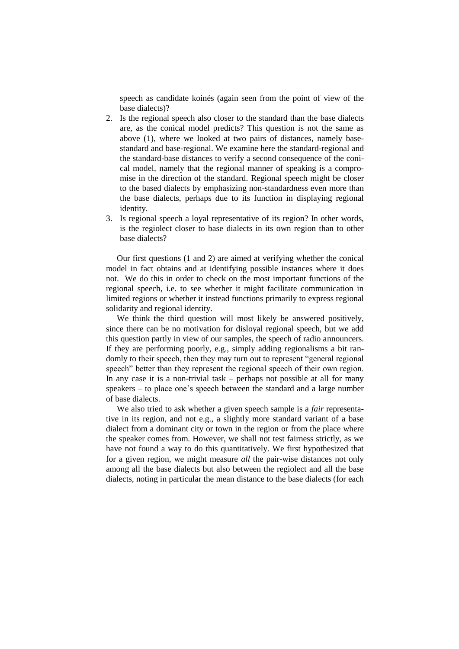speech as candidate koinés (again seen from the point of view of the base dialects)?

- 2. Is the regional speech also closer to the standard than the base dialects are, as the conical model predicts? This question is not the same as above (1), where we looked at two pairs of distances, namely basestandard and base-regional. We examine here the standard-regional and the standard-base distances to verify a second consequence of the conical model, namely that the regional manner of speaking is a compromise in the direction of the standard. Regional speech might be closer to the based dialects by emphasizing non-standardness even more than the base dialects, perhaps due to its function in displaying regional identity.
- 3. Is regional speech a loyal representative of its region? In other words, is the regiolect closer to base dialects in its own region than to other base dialects?

Our first questions (1 and 2) are aimed at verifying whether the conical model in fact obtains and at identifying possible instances where it does not. We do this in order to check on the most important functions of the regional speech, i.e. to see whether it might facilitate communication in limited regions or whether it instead functions primarily to express regional solidarity and regional identity.

We think the third question will most likely be answered positively, since there can be no motivation for disloyal regional speech, but we add this question partly in view of our samples, the speech of radio announcers. If they are performing poorly, e.g., simply adding regionalisms a bit randomly to their speech, then they may turn out to represent "general regional speech" better than they represent the regional speech of their own region. In any case it is a non-trivial task – perhaps not possible at all for many speakers – to place one's speech between the standard and a large number of base dialects.

We also tried to ask whether a given speech sample is a *fair* representative in its region, and not e.g., a slightly more standard variant of a base dialect from a dominant city or town in the region or from the place where the speaker comes from. However, we shall not test fairness strictly, as we have not found a way to do this quantitatively. We first hypothesized that for a given region, we might measure *all* the pair-wise distances not only among all the base dialects but also between the regiolect and all the base dialects, noting in particular the mean distance to the base dialects (for each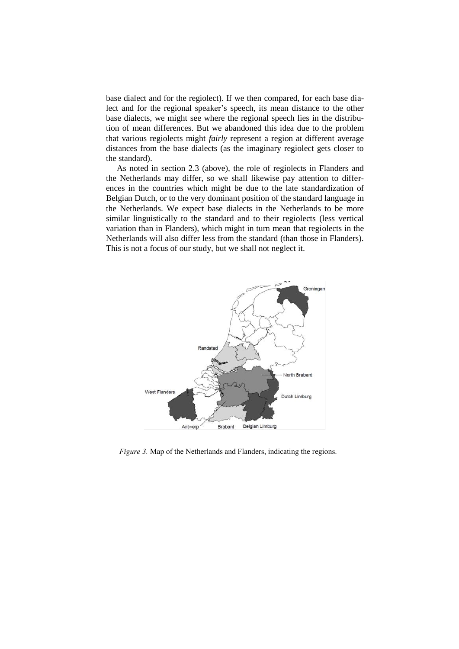base dialect and for the regiolect). If we then compared, for each base dialect and for the regional speaker's speech, its mean distance to the other base dialects, we might see where the regional speech lies in the distribution of mean differences. But we abandoned this idea due to the problem that various regiolects might *fairly* represent a region at different average distances from the base dialects (as the imaginary regiolect gets closer to the standard).

As noted in section 2.3 (above), the role of regiolects in Flanders and the Netherlands may differ, so we shall likewise pay attention to differences in the countries which might be due to the late standardization of Belgian Dutch, or to the very dominant position of the standard language in the Netherlands. We expect base dialects in the Netherlands to be more similar linguistically to the standard and to their regiolects (less vertical variation than in Flanders), which might in turn mean that regiolects in the Netherlands will also differ less from the standard (than those in Flanders). This is not a focus of our study, but we shall not neglect it.



*Figure 3.* Map of the Netherlands and Flanders, indicating the regions.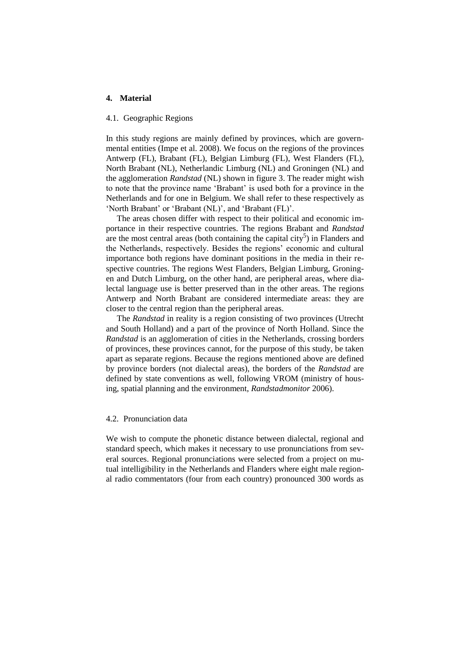# **4. Material**

### 4.1. Geographic Regions

In this study regions are mainly defined by provinces, which are governmental entities (Impe et al. 2008). We focus on the regions of the provinces Antwerp (FL), Brabant (FL), Belgian Limburg (FL), West Flanders (FL), North Brabant (NL), Netherlandic Limburg (NL) and Groningen (NL) and the agglomeration *Randstad* (NL) shown in figure 3. The reader might wish to note that the province name 'Brabant' is used both for a province in the Netherlands and for one in Belgium. We shall refer to these respectively as 'North Brabant' or 'Brabant (NL)', and 'Brabant (FL)'.

The areas chosen differ with respect to their political and economic importance in their respective countries. The regions Brabant and *Randstad* are the most central areas (both containing the capital city<sup>5</sup>) in Flanders and the Netherlands, respectively. Besides the regions' economic and cultural importance both regions have dominant positions in the media in their respective countries. The regions West Flanders, Belgian Limburg, Groningen and Dutch Limburg, on the other hand, are peripheral areas, where dialectal language use is better preserved than in the other areas. The regions Antwerp and North Brabant are considered intermediate areas: they are closer to the central region than the peripheral areas.

The *Randstad* in reality is a region consisting of two provinces (Utrecht and South Holland) and a part of the province of North Holland. Since the *Randstad* is an agglomeration of cities in the Netherlands, crossing borders of provinces, these provinces cannot, for the purpose of this study, be taken apart as separate regions. Because the regions mentioned above are defined by province borders (not dialectal areas), the borders of the *Randstad* are defined by state conventions as well, following VROM (ministry of housing, spatial planning and the environment, *Randstadmonitor* 2006).

#### 4.2. Pronunciation data

We wish to compute the phonetic distance between dialectal, regional and standard speech, which makes it necessary to use pronunciations from several sources. Regional pronunciations were selected from a project on mutual intelligibility in the Netherlands and Flanders where eight male regional radio commentators (four from each country) pronounced 300 words as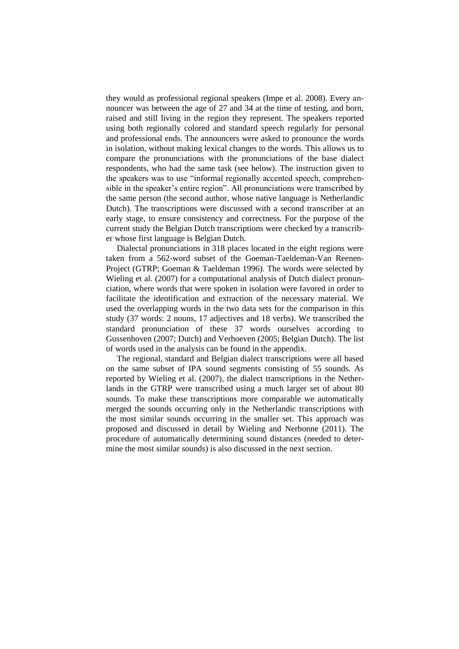they would as professional regional speakers (Impe et al. 2008). Every announcer was between the age of 27 and 34 at the time of testing, and born, raised and still living in the region they represent. The speakers reported using both regionally colored and standard speech regularly for personal and professional ends. The announcers were asked to pronounce the words in isolation, without making lexical changes to the words. This allows us to compare the pronunciations with the pronunciations of the base dialect respondents, who had the same task (see below). The instruction given to the speakers was to use "informal regionally accented speech, comprehensible in the speaker's entire region". All pronunciations were transcribed by the same person (the second author, whose native language is Netherlandic Dutch). The transcriptions were discussed with a second transcriber at an early stage, to ensure consistency and correctness. For the purpose of the current study the Belgian Dutch transcriptions were checked by a transcriber whose first language is Belgian Dutch.

Dialectal pronunciations in 318 places located in the eight regions were taken from a 562-word subset of the Goeman-Taeldeman-Van Reenen-Project (GTRP; Goeman & Taeldeman 1996). The words were selected by Wieling et al. (2007) for a computational analysis of Dutch dialect pronunciation, where words that were spoken in isolation were favored in order to facilitate the identification and extraction of the necessary material. We used the overlapping words in the two data sets for the comparison in this study (37 words: 2 nouns, 17 adjectives and 18 verbs). We transcribed the standard pronunciation of these 37 words ourselves according to Gussenhoven (2007; Dutch) and Verhoeven (2005; Belgian Dutch). The list of words used in the analysis can be found in the appendix.

The regional, standard and Belgian dialect transcriptions were all based on the same subset of IPA sound segments consisting of 55 sounds. As reported by Wieling et al. (2007), the dialect transcriptions in the Netherlands in the GTRP were transcribed using a much larger set of about 80 sounds. To make these transcriptions more comparable we automatically merged the sounds occurring only in the Netherlandic transcriptions with the most similar sounds occurring in the smaller set. This approach was proposed and discussed in detail by Wieling and Nerbonne (2011). The procedure of automatically determining sound distances (needed to determine the most similar sounds) is also discussed in the next section.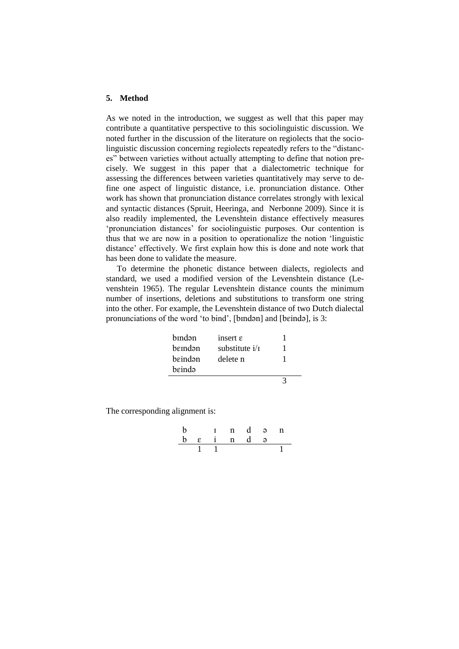# **5. Method**

As we noted in the introduction, we suggest as well that this paper may contribute a quantitative perspective to this sociolinguistic discussion. We noted further in the discussion of the literature on regiolects that the sociolinguistic discussion concerning regiolects repeatedly refers to the "distances" between varieties without actually attempting to define that notion precisely. We suggest in this paper that a dialectometric technique for assessing the differences between varieties quantitatively may serve to define one aspect of linguistic distance, i.e. pronunciation distance. Other work has shown that pronunciation distance correlates strongly with lexical and syntactic distances (Spruit, Heeringa, and Nerbonne 2009). Since it is also readily implemented, the Levenshtein distance effectively measures 'pronunciation distances' for sociolinguistic purposes. Our contention is thus that we are now in a position to operationalize the notion 'linguistic distance' effectively. We first explain how this is done and note work that has been done to validate the measure.

To determine the phonetic distance between dialects, regiolects and standard, we used a modified version of the Levenshtein distance (Levenshtein 1965). The regular Levenshtein distance counts the minimum number of insertions, deletions and substitutions to transform one string into the other. For example, the Levenshtein distance of two Dutch dialectal pronunciations of the word 'to bind', [bindən] and [beində], is 3:

| bīndən  | insert $\varepsilon$ |  |
|---------|----------------------|--|
| bemdən  | substitute i/t       |  |
| beindan | delete n             |  |
| beində  |                      |  |
|         |                      |  |

The corresponding alignment is:

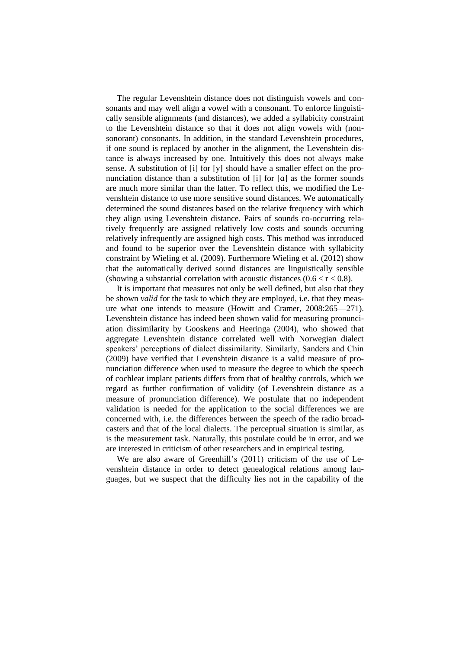The regular Levenshtein distance does not distinguish vowels and consonants and may well align a vowel with a consonant. To enforce linguistically sensible alignments (and distances), we added a syllabicity constraint to the Levenshtein distance so that it does not align vowels with (nonsonorant) consonants. In addition, in the standard Levenshtein procedures, if one sound is replaced by another in the alignment, the Levenshtein distance is always increased by one. Intuitively this does not always make sense. A substitution of [i] for [y] should have a smaller effect on the pronunciation distance than a substitution of  $[i]$  for  $[a]$  as the former sounds are much more similar than the latter. To reflect this, we modified the Levenshtein distance to use more sensitive sound distances. We automatically determined the sound distances based on the relative frequency with which they align using Levenshtein distance. Pairs of sounds co-occurring relatively frequently are assigned relatively low costs and sounds occurring relatively infrequently are assigned high costs. This method was introduced and found to be superior over the Levenshtein distance with syllabicity constraint by Wieling et al. (2009). Furthermore Wieling et al. (2012) show that the automatically derived sound distances are linguistically sensible (showing a substantial correlation with acoustic distances  $(0.6 < r < 0.8)$ ).

It is important that measures not only be well defined, but also that they be shown *valid* for the task to which they are employed, i.e. that they measure what one intends to measure (Howitt and Cramer, 2008:265—271). Levenshtein distance has indeed been shown valid for measuring pronunciation dissimilarity by Gooskens and Heeringa (2004), who showed that aggregate Levenshtein distance correlated well with Norwegian dialect speakers' perceptions of dialect dissimilarity. Similarly, Sanders and Chin (2009) have verified that Levenshtein distance is a valid measure of pronunciation difference when used to measure the degree to which the speech of cochlear implant patients differs from that of healthy controls, which we regard as further confirmation of validity (of Levenshtein distance as a measure of pronunciation difference). We postulate that no independent validation is needed for the application to the social differences we are concerned with, i.e. the differences between the speech of the radio broadcasters and that of the local dialects. The perceptual situation is similar, as is the measurement task. Naturally, this postulate could be in error, and we are interested in criticism of other researchers and in empirical testing.

We are also aware of Greenhill's (2011) criticism of the use of Levenshtein distance in order to detect genealogical relations among languages, but we suspect that the difficulty lies not in the capability of the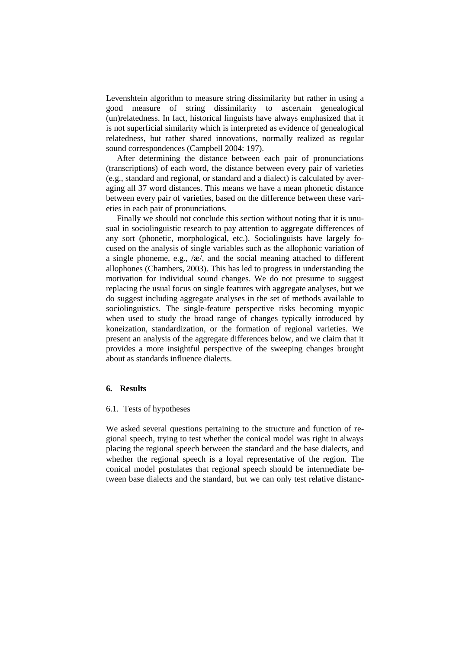Levenshtein algorithm to measure string dissimilarity but rather in using a good measure of string dissimilarity to ascertain genealogical (un)relatedness. In fact, historical linguists have always emphasized that it is not superficial similarity which is interpreted as evidence of genealogical relatedness, but rather shared innovations, normally realized as regular sound correspondences (Campbell 2004: 197).

After determining the distance between each pair of pronunciations (transcriptions) of each word, the distance between every pair of varieties (e.g., standard and regional, or standard and a dialect) is calculated by averaging all 37 word distances. This means we have a mean phonetic distance between every pair of varieties, based on the difference between these varieties in each pair of pronunciations.

Finally we should not conclude this section without noting that it is unusual in sociolinguistic research to pay attention to aggregate differences of any sort (phonetic, morphological, etc.). Sociolinguists have largely focused on the analysis of single variables such as the allophonic variation of a single phoneme, e.g.,  $\alpha$ , and the social meaning attached to different allophones (Chambers, 2003). This has led to progress in understanding the motivation for individual sound changes. We do not presume to suggest replacing the usual focus on single features with aggregate analyses, but we do suggest including aggregate analyses in the set of methods available to sociolinguistics. The single-feature perspective risks becoming myopic when used to study the broad range of changes typically introduced by koneization, standardization, or the formation of regional varieties. We present an analysis of the aggregate differences below, and we claim that it provides a more insightful perspective of the sweeping changes brought about as standards influence dialects.

#### **6. Results**

#### 6.1. Tests of hypotheses

We asked several questions pertaining to the structure and function of regional speech, trying to test whether the conical model was right in always placing the regional speech between the standard and the base dialects, and whether the regional speech is a loyal representative of the region. The conical model postulates that regional speech should be intermediate between base dialects and the standard, but we can only test relative distanc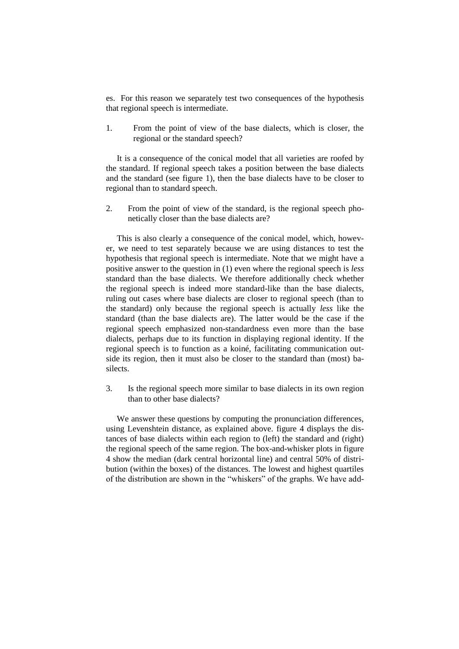es. For this reason we separately test two consequences of the hypothesis that regional speech is intermediate.

1. From the point of view of the base dialects, which is closer, the regional or the standard speech?

It is a consequence of the conical model that all varieties are roofed by the standard. If regional speech takes a position between the base dialects and the standard (see figure 1), then the base dialects have to be closer to regional than to standard speech.

2. From the point of view of the standard, is the regional speech phonetically closer than the base dialects are?

This is also clearly a consequence of the conical model, which, however, we need to test separately because we are using distances to test the hypothesis that regional speech is intermediate. Note that we might have a positive answer to the question in (1) even where the regional speech is *less* standard than the base dialects. We therefore additionally check whether the regional speech is indeed more standard-like than the base dialects, ruling out cases where base dialects are closer to regional speech (than to the standard) only because the regional speech is actually *less* like the standard (than the base dialects are). The latter would be the case if the regional speech emphasized non-standardness even more than the base dialects, perhaps due to its function in displaying regional identity. If the regional speech is to function as a koiné, facilitating communication outside its region, then it must also be closer to the standard than (most) basilects.

3. Is the regional speech more similar to base dialects in its own region than to other base dialects?

We answer these questions by computing the pronunciation differences, using Levenshtein distance, as explained above. figure 4 displays the distances of base dialects within each region to (left) the standard and (right) the regional speech of the same region. The box-and-whisker plots in figure 4 show the median (dark central horizontal line) and central 50% of distribution (within the boxes) of the distances. The lowest and highest quartiles of the distribution are shown in the "whiskers" of the graphs. We have add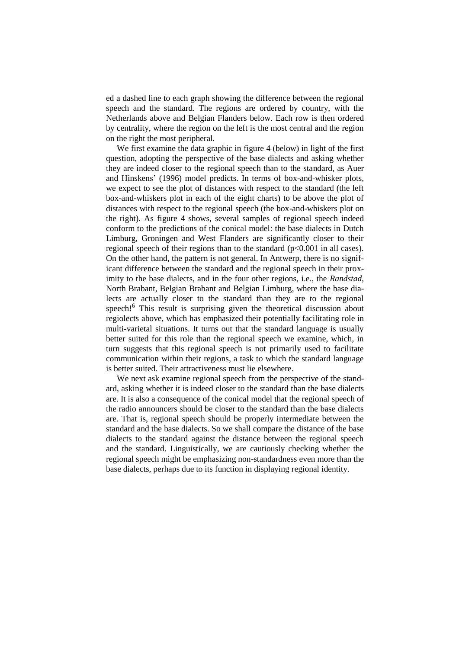ed a dashed line to each graph showing the difference between the regional speech and the standard. The regions are ordered by country, with the Netherlands above and Belgian Flanders below. Each row is then ordered by centrality, where the region on the left is the most central and the region on the right the most peripheral.

We first examine the data graphic in figure 4 (below) in light of the first question, adopting the perspective of the base dialects and asking whether they are indeed closer to the regional speech than to the standard, as Auer and Hinskens' (1996) model predicts. In terms of box-and-whisker plots, we expect to see the plot of distances with respect to the standard (the left box-and-whiskers plot in each of the eight charts) to be above the plot of distances with respect to the regional speech (the box-and-whiskers plot on the right). As figure 4 shows, several samples of regional speech indeed conform to the predictions of the conical model: the base dialects in Dutch Limburg, Groningen and West Flanders are significantly closer to their regional speech of their regions than to the standard  $(p<0.001$  in all cases). On the other hand, the pattern is not general. In Antwerp, there is no significant difference between the standard and the regional speech in their proximity to the base dialects, and in the four other regions, i.e., the *Randstad*, North Brabant, Belgian Brabant and Belgian Limburg, where the base dialects are actually closer to the standard than they are to the regional speech!<sup>6</sup> This result is surprising given the theoretical discussion about regiolects above, which has emphasized their potentially facilitating role in multi-varietal situations. It turns out that the standard language is usually better suited for this role than the regional speech we examine, which, in turn suggests that this regional speech is not primarily used to facilitate communication within their regions, a task to which the standard language is better suited. Their attractiveness must lie elsewhere.

We next ask examine regional speech from the perspective of the standard, asking whether it is indeed closer to the standard than the base dialects are. It is also a consequence of the conical model that the regional speech of the radio announcers should be closer to the standard than the base dialects are. That is, regional speech should be properly intermediate between the standard and the base dialects. So we shall compare the distance of the base dialects to the standard against the distance between the regional speech and the standard. Linguistically, we are cautiously checking whether the regional speech might be emphasizing non-standardness even more than the base dialects, perhaps due to its function in displaying regional identity.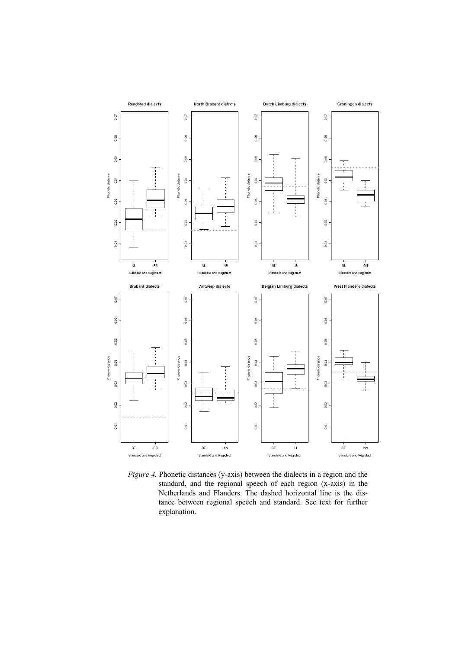

*Figure 4.* Phonetic distances (y-axis) between the dialects in a region and the standard, and the regional speech of each region (x-axis) in the Netherlands and Flanders. The dashed horizontal line is the distance between regional speech and standard. See text for further explanation.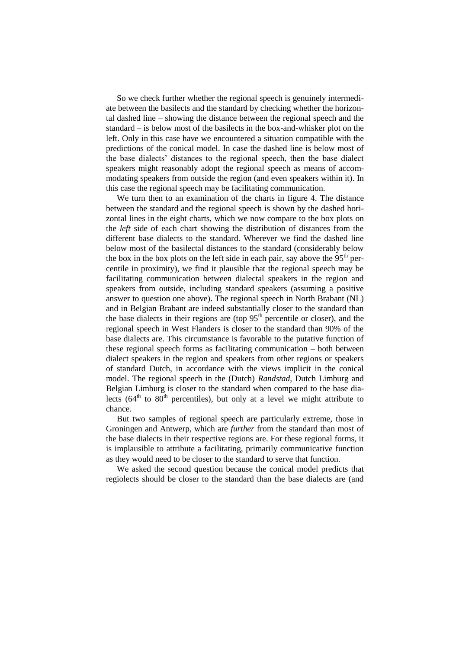So we check further whether the regional speech is genuinely intermediate between the basilects and the standard by checking whether the horizontal dashed line – showing the distance between the regional speech and the standard – is below most of the basilects in the box-and-whisker plot on the left. Only in this case have we encountered a situation compatible with the predictions of the conical model. In case the dashed line is below most of the base dialects' distances to the regional speech, then the base dialect speakers might reasonably adopt the regional speech as means of accommodating speakers from outside the region (and even speakers within it). In this case the regional speech may be facilitating communication.

We turn then to an examination of the charts in figure 4. The distance between the standard and the regional speech is shown by the dashed horizontal lines in the eight charts, which we now compare to the box plots on the *left* side of each chart showing the distribution of distances from the different base dialects to the standard. Wherever we find the dashed line below most of the basilectal distances to the standard (considerably below the box in the box plots on the left side in each pair, say above the  $95<sup>th</sup>$  percentile in proximity), we find it plausible that the regional speech may be facilitating communication between dialectal speakers in the region and speakers from outside, including standard speakers (assuming a positive answer to question one above). The regional speech in North Brabant (NL) and in Belgian Brabant are indeed substantially closer to the standard than the base dialects in their regions are (top  $95<sup>th</sup>$  percentile or closer), and the regional speech in West Flanders is closer to the standard than 90% of the base dialects are. This circumstance is favorable to the putative function of these regional speech forms as facilitating communication – both between dialect speakers in the region and speakers from other regions or speakers of standard Dutch, in accordance with the views implicit in the conical model. The regional speech in the (Dutch) *Randstad*, Dutch Limburg and Belgian Limburg is closer to the standard when compared to the base dialects ( $64<sup>th</sup>$  to  $80<sup>th</sup>$  percentiles), but only at a level we might attribute to chance.

But two samples of regional speech are particularly extreme, those in Groningen and Antwerp, which are *further* from the standard than most of the base dialects in their respective regions are. For these regional forms, it is implausible to attribute a facilitating, primarily communicative function as they would need to be closer to the standard to serve that function.

We asked the second question because the conical model predicts that regiolects should be closer to the standard than the base dialects are (and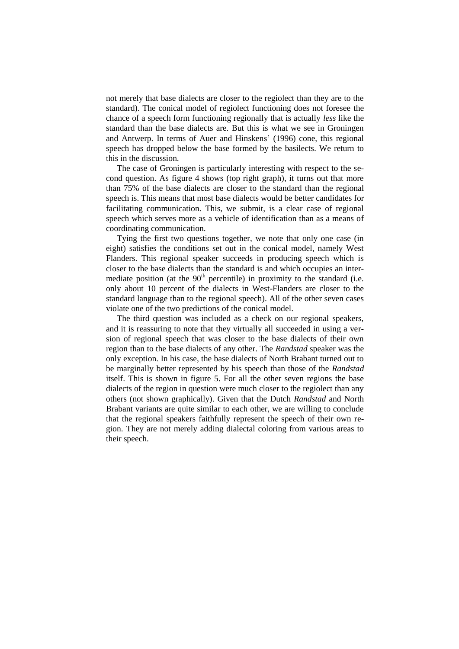not merely that base dialects are closer to the regiolect than they are to the standard). The conical model of regiolect functioning does not foresee the chance of a speech form functioning regionally that is actually *less* like the standard than the base dialects are. But this is what we see in Groningen and Antwerp. In terms of Auer and Hinskens' (1996) cone, this regional speech has dropped below the base formed by the basilects. We return to this in the discussion.

The case of Groningen is particularly interesting with respect to the second question. As figure 4 shows (top right graph), it turns out that more than 75% of the base dialects are closer to the standard than the regional speech is. This means that most base dialects would be better candidates for facilitating communication. This, we submit, is a clear case of regional speech which serves more as a vehicle of identification than as a means of coordinating communication.

Tying the first two questions together, we note that only one case (in eight) satisfies the conditions set out in the conical model, namely West Flanders. This regional speaker succeeds in producing speech which is closer to the base dialects than the standard is and which occupies an intermediate position (at the  $90<sup>th</sup>$  percentile) in proximity to the standard (i.e. only about 10 percent of the dialects in West-Flanders are closer to the standard language than to the regional speech). All of the other seven cases violate one of the two predictions of the conical model.

The third question was included as a check on our regional speakers, and it is reassuring to note that they virtually all succeeded in using a version of regional speech that was closer to the base dialects of their own region than to the base dialects of any other. The *Randstad* speaker was the only exception. In his case, the base dialects of North Brabant turned out to be marginally better represented by his speech than those of the *Randstad* itself. This is shown in figure 5. For all the other seven regions the base dialects of the region in question were much closer to the regiolect than any others (not shown graphically). Given that the Dutch *Randstad* and North Brabant variants are quite similar to each other, we are willing to conclude that the regional speakers faithfully represent the speech of their own region. They are not merely adding dialectal coloring from various areas to their speech.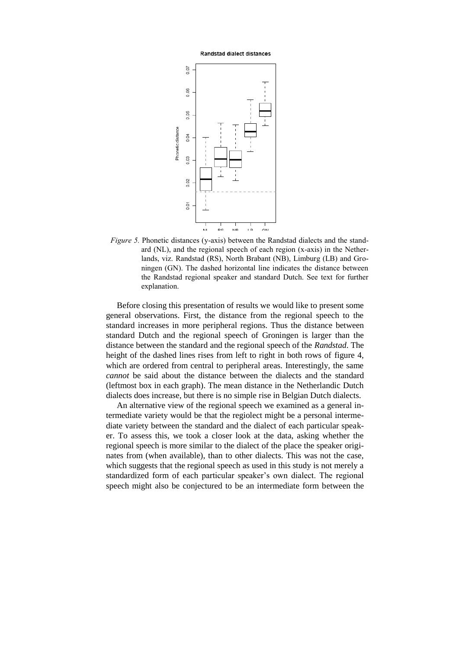



*Figure 5.* Phonetic distances (y-axis) between the Randstad dialects and the standard (NL), and the regional speech of each region (x-axis) in the Netherlands, viz. Randstad (RS), North Brabant (NB), Limburg (LB) and Groningen (GN). The dashed horizontal line indicates the distance between the Randstad regional speaker and standard Dutch. See text for further explanation.

Before closing this presentation of results we would like to present some general observations. First, the distance from the regional speech to the standard increases in more peripheral regions. Thus the distance between standard Dutch and the regional speech of Groningen is larger than the distance between the standard and the regional speech of the *Randstad*. The height of the dashed lines rises from left to right in both rows of figure 4, which are ordered from central to peripheral areas. Interestingly, the same *cannot* be said about the distance between the dialects and the standard (leftmost box in each graph). The mean distance in the Netherlandic Dutch dialects does increase, but there is no simple rise in Belgian Dutch dialects.

An alternative view of the regional speech we examined as a general intermediate variety would be that the regiolect might be a personal intermediate variety between the standard and the dialect of each particular speaker. To assess this, we took a closer look at the data, asking whether the regional speech is more similar to the dialect of the place the speaker originates from (when available), than to other dialects. This was not the case, which suggests that the regional speech as used in this study is not merely a standardized form of each particular speaker's own dialect. The regional speech might also be conjectured to be an intermediate form between the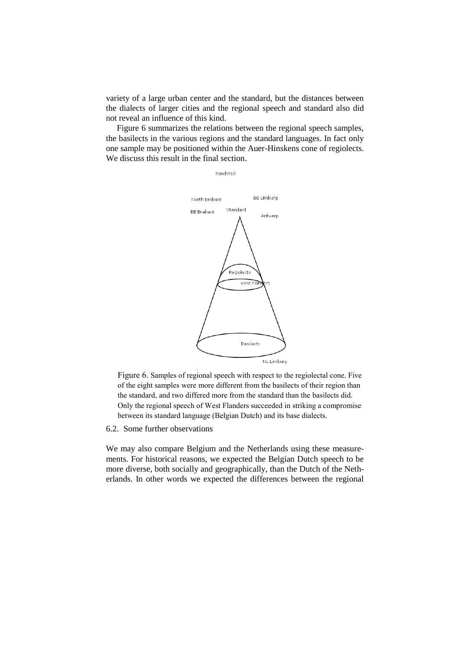variety of a large urban center and the standard, but the distances between the dialects of larger cities and the regional speech and standard also did not reveal an influence of this kind.

Figure 6 summarizes the relations between the regional speech samples, the basilects in the various regions and the standard languages. In fact only one sample may be positioned within the Auer-Hinskens cone of regiolects. We discuss this result in the final section.



Figure 6. Samples of regional speech with respect to the regiolectal cone. Five of the eight samples were more different from the basilects of their region than the standard, and two differed more from the standard than the basilects did. Only the regional speech of West Flanders succeeded in striking a compromise between its standard language (Belgian Dutch) and its base dialects.

6.2. Some further observations

We may also compare Belgium and the Netherlands using these measurements. For historical reasons, we expected the Belgian Dutch speech to be more diverse, both socially and geographically, than the Dutch of the Netherlands. In other words we expected the differences between the regional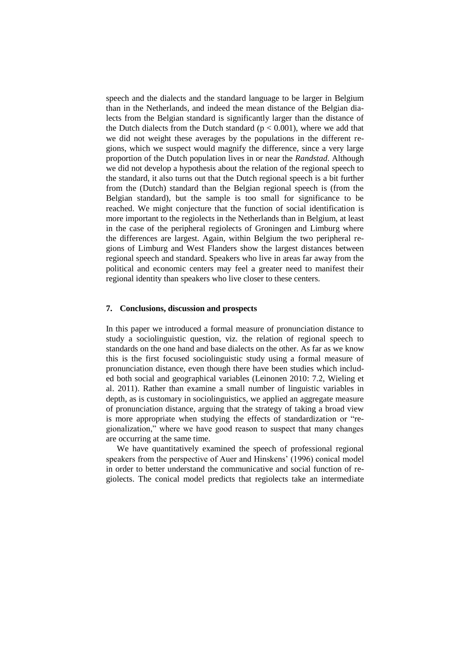speech and the dialects and the standard language to be larger in Belgium than in the Netherlands, and indeed the mean distance of the Belgian dialects from the Belgian standard is significantly larger than the distance of the Dutch dialects from the Dutch standard ( $p < 0.001$ ), where we add that we did not weight these averages by the populations in the different regions, which we suspect would magnify the difference, since a very large proportion of the Dutch population lives in or near the *Randstad*. Although we did not develop a hypothesis about the relation of the regional speech to the standard, it also turns out that the Dutch regional speech is a bit further from the (Dutch) standard than the Belgian regional speech is (from the Belgian standard), but the sample is too small for significance to be reached. We might conjecture that the function of social identification is more important to the regiolects in the Netherlands than in Belgium, at least in the case of the peripheral regiolects of Groningen and Limburg where the differences are largest. Again, within Belgium the two peripheral regions of Limburg and West Flanders show the largest distances between regional speech and standard. Speakers who live in areas far away from the political and economic centers may feel a greater need to manifest their regional identity than speakers who live closer to these centers.

#### **7. Conclusions, discussion and prospects**

In this paper we introduced a formal measure of pronunciation distance to study a sociolinguistic question, viz. the relation of regional speech to standards on the one hand and base dialects on the other. As far as we know this is the first focused sociolinguistic study using a formal measure of pronunciation distance, even though there have been studies which included both social and geographical variables (Leinonen 2010: 7.2, Wieling et al. 2011). Rather than examine a small number of linguistic variables in depth, as is customary in sociolinguistics, we applied an aggregate measure of pronunciation distance, arguing that the strategy of taking a broad view is more appropriate when studying the effects of standardization or "regionalization," where we have good reason to suspect that many changes are occurring at the same time.

We have quantitatively examined the speech of professional regional speakers from the perspective of Auer and Hinskens' (1996) conical model in order to better understand the communicative and social function of regiolects. The conical model predicts that regiolects take an intermediate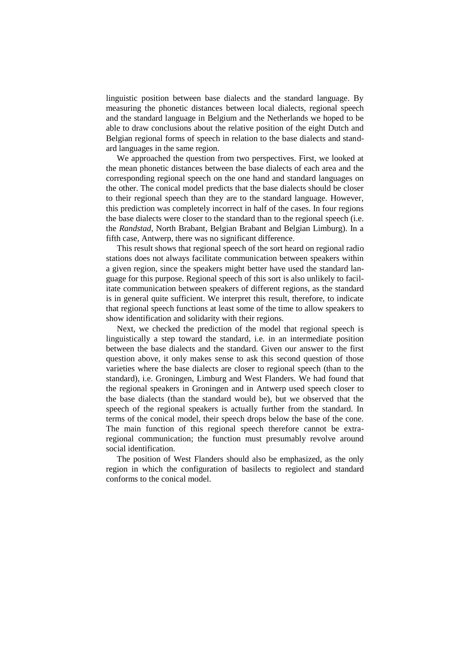linguistic position between base dialects and the standard language. By measuring the phonetic distances between local dialects, regional speech and the standard language in Belgium and the Netherlands we hoped to be able to draw conclusions about the relative position of the eight Dutch and Belgian regional forms of speech in relation to the base dialects and standard languages in the same region.

We approached the question from two perspectives. First, we looked at the mean phonetic distances between the base dialects of each area and the corresponding regional speech on the one hand and standard languages on the other. The conical model predicts that the base dialects should be closer to their regional speech than they are to the standard language. However, this prediction was completely incorrect in half of the cases. In four regions the base dialects were closer to the standard than to the regional speech (i.e. the *Randstad*, North Brabant, Belgian Brabant and Belgian Limburg). In a fifth case, Antwerp, there was no significant difference.

This result shows that regional speech of the sort heard on regional radio stations does not always facilitate communication between speakers within a given region, since the speakers might better have used the standard language for this purpose. Regional speech of this sort is also unlikely to facilitate communication between speakers of different regions, as the standard is in general quite sufficient. We interpret this result, therefore, to indicate that regional speech functions at least some of the time to allow speakers to show identification and solidarity with their regions.

Next, we checked the prediction of the model that regional speech is linguistically a step toward the standard, i.e. in an intermediate position between the base dialects and the standard. Given our answer to the first question above, it only makes sense to ask this second question of those varieties where the base dialects are closer to regional speech (than to the standard), i.e. Groningen, Limburg and West Flanders. We had found that the regional speakers in Groningen and in Antwerp used speech closer to the base dialects (than the standard would be), but we observed that the speech of the regional speakers is actually further from the standard. In terms of the conical model, their speech drops below the base of the cone. The main function of this regional speech therefore cannot be extraregional communication; the function must presumably revolve around social identification.

The position of West Flanders should also be emphasized, as the only region in which the configuration of basilects to regiolect and standard conforms to the conical model.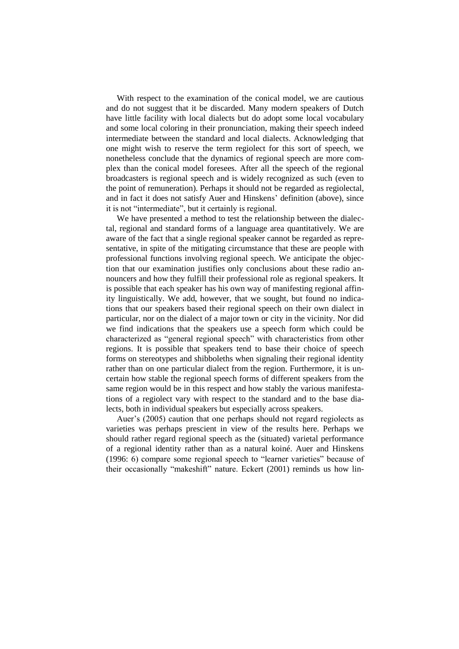With respect to the examination of the conical model, we are cautious and do not suggest that it be discarded. Many modern speakers of Dutch have little facility with local dialects but do adopt some local vocabulary and some local coloring in their pronunciation, making their speech indeed intermediate between the standard and local dialects. Acknowledging that one might wish to reserve the term regiolect for this sort of speech, we nonetheless conclude that the dynamics of regional speech are more complex than the conical model foresees. After all the speech of the regional broadcasters is regional speech and is widely recognized as such (even to the point of remuneration). Perhaps it should not be regarded as regiolectal, and in fact it does not satisfy Auer and Hinskens' definition (above), since it is not "intermediate", but it certainly is regional.

We have presented a method to test the relationship between the dialectal, regional and standard forms of a language area quantitatively. We are aware of the fact that a single regional speaker cannot be regarded as representative, in spite of the mitigating circumstance that these are people with professional functions involving regional speech. We anticipate the objection that our examination justifies only conclusions about these radio announcers and how they fulfill their professional role as regional speakers. It is possible that each speaker has his own way of manifesting regional affinity linguistically. We add, however, that we sought, but found no indications that our speakers based their regional speech on their own dialect in particular, nor on the dialect of a major town or city in the vicinity. Nor did we find indications that the speakers use a speech form which could be characterized as "general regional speech" with characteristics from other regions. It is possible that speakers tend to base their choice of speech forms on stereotypes and shibboleths when signaling their regional identity rather than on one particular dialect from the region. Furthermore, it is uncertain how stable the regional speech forms of different speakers from the same region would be in this respect and how stably the various manifestations of a regiolect vary with respect to the standard and to the base dialects, both in individual speakers but especially across speakers.

Auer's (2005) caution that one perhaps should not regard regiolects as varieties was perhaps prescient in view of the results here. Perhaps we should rather regard regional speech as the (situated) varietal performance of a regional identity rather than as a natural koiné. Auer and Hinskens (1996: 6) compare some regional speech to "learner varieties" because of their occasionally "makeshift" nature. Eckert (2001) reminds us how lin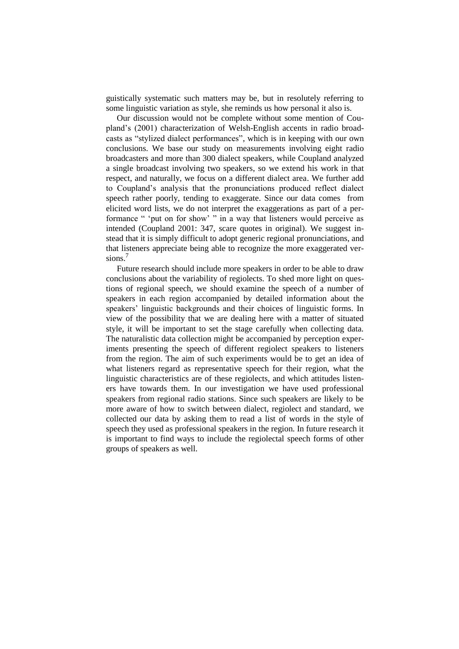guistically systematic such matters may be, but in resolutely referring to some linguistic variation as style, she reminds us how personal it also is.

Our discussion would not be complete without some mention of Coupland's (2001) characterization of Welsh-English accents in radio broadcasts as "stylized dialect performances", which is in keeping with our own conclusions. We base our study on measurements involving eight radio broadcasters and more than 300 dialect speakers, while Coupland analyzed a single broadcast involving two speakers, so we extend his work in that respect, and naturally, we focus on a different dialect area. We further add to Coupland's analysis that the pronunciations produced reflect dialect speech rather poorly, tending to exaggerate. Since our data comes from elicited word lists, we do not interpret the exaggerations as part of a performance " 'put on for show' " in a way that listeners would perceive as intended (Coupland 2001: 347, scare quotes in original). We suggest instead that it is simply difficult to adopt generic regional pronunciations, and that listeners appreciate being able to recognize the more exaggerated versions.<sup>7</sup>

Future research should include more speakers in order to be able to draw conclusions about the variability of regiolects. To shed more light on questions of regional speech, we should examine the speech of a number of speakers in each region accompanied by detailed information about the speakers' linguistic backgrounds and their choices of linguistic forms. In view of the possibility that we are dealing here with a matter of situated style, it will be important to set the stage carefully when collecting data. The naturalistic data collection might be accompanied by perception experiments presenting the speech of different regiolect speakers to listeners from the region. The aim of such experiments would be to get an idea of what listeners regard as representative speech for their region, what the linguistic characteristics are of these regiolects, and which attitudes listeners have towards them. In our investigation we have used professional speakers from regional radio stations. Since such speakers are likely to be more aware of how to switch between dialect, regiolect and standard, we collected our data by asking them to read a list of words in the style of speech they used as professional speakers in the region. In future research it is important to find ways to include the regiolectal speech forms of other groups of speakers as well.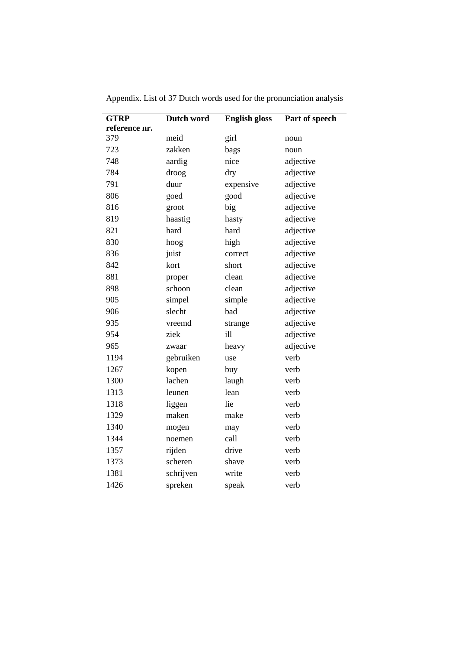| <b>GTRP</b>   | Dutch word | <b>English gloss</b> | Part of speech |
|---------------|------------|----------------------|----------------|
| reference nr. |            |                      |                |
| 379           | meid       | girl                 | noun           |
| 723           | zakken     | bags                 | noun           |
| 748           | aardig     | nice                 | adjective      |
| 784           | droog      | dry                  | adjective      |
| 791           | duur       | expensive            | adjective      |
| 806           | goed       | good                 | adjective      |
| 816           | groot      | big                  | adjective      |
| 819           | haastig    | hasty                | adjective      |
| 821           | hard       | hard                 | adjective      |
| 830           | hoog       | high                 | adjective      |
| 836           | juist      | correct              | adjective      |
| 842           | kort       | short                | adjective      |
| 881           | proper     | clean                | adjective      |
| 898           | schoon     | clean                | adjective      |
| 905           | simpel     | simple               | adjective      |
| 906           | slecht     | bad                  | adjective      |
| 935           | vreemd     | strange              | adjective      |
| 954           | ziek       | ill                  | adjective      |
| 965           | zwaar      | heavy                | adjective      |
| 1194          | gebruiken  | use                  | verb           |
| 1267          | kopen      | buy                  | verb           |
| 1300          | lachen     | laugh                | verb           |
| 1313          | leunen     | lean                 | verb           |
| 1318          | liggen     | lie                  | verb           |
| 1329          | maken      | make                 | verb           |
| 1340          | mogen      | may                  | verb           |
| 1344          | noemen     | call                 | verb           |
| 1357          | rijden     | drive                | verb           |
| 1373          | scheren    | shave                | verb           |
| 1381          | schrijven  | write                | verb           |
| 1426          | spreken    | speak                | verb           |

Appendix. List of 37 Dutch words used for the pronunciation analysis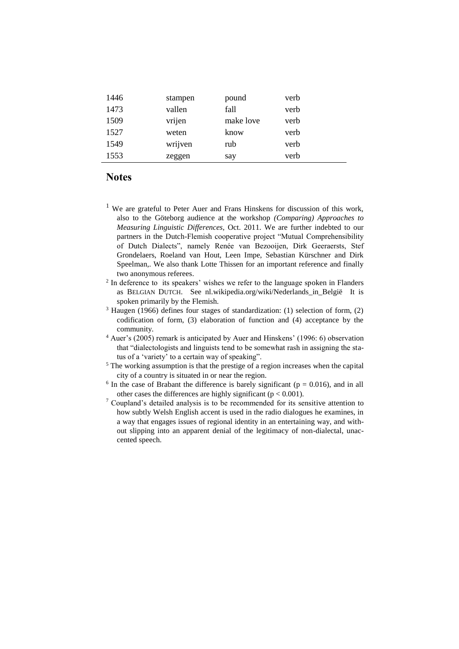| 1446 | stampen | pound     | verb |
|------|---------|-----------|------|
| 1473 | vallen  | fall      | verb |
| 1509 | vrijen  | make love | verb |
| 1527 | weten   | know      | verb |
| 1549 | wrijven | rub       | verb |
| 1553 | zeggen  | say       | verb |

# **Notes**

- <sup>1</sup> We are grateful to Peter Auer and Frans Hinskens for discussion of this work, also to the Göteborg audience at the workshop *(Comparing) Approaches to Measuring Linguistic Differences,* Oct. 2011. We are further indebted to our partners in the Dutch-Flemish cooperative project "Mutual Comprehensibility of Dutch Dialects", namely Renée van Bezooijen, Dirk Geeraersts, Stef Grondelaers, Roeland van Hout, Leen Impe, Sebastian Kürschner and Dirk Speelman,. We also thank Lotte Thissen for an important reference and finally two anonymous referees.
- <sup>2</sup> In deference to its speakers' wishes we refer to the language spoken in Flanders as BELGIAN DUTCH. See nl.wikipedia.org/wiki/Nederlands\_in\_België It is spoken primarily by the Flemish.
- <sup>3</sup> Haugen (1966) defines four stages of standardization: (1) selection of form, (2) codification of form, (3) elaboration of function and (4) acceptance by the community.
- <sup>4</sup> Auer's (2005) remark is anticipated by Auer and Hinskens' (1996: 6) observation that "dialectologists and linguists tend to be somewhat rash in assigning the status of a 'variety' to a certain way of speaking".
- <sup>5</sup> The working assumption is that the prestige of a region increases when the capital city of a country is situated in or near the region.
- $6$  In the case of Brabant the difference is barely significant ( $p = 0.016$ ), and in all other cases the differences are highly significant ( $p < 0.001$ ).
- $7$  Coupland's detailed analysis is to be recommended for its sensitive attention to how subtly Welsh English accent is used in the radio dialogues he examines, in a way that engages issues of regional identity in an entertaining way, and without slipping into an apparent denial of the legitimacy of non-dialectal, unaccented speech.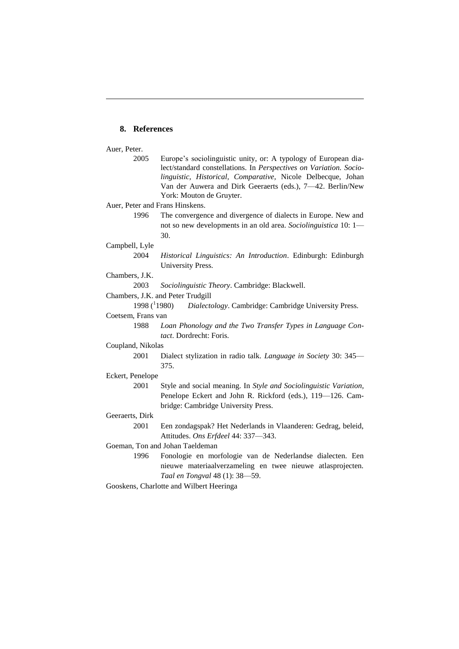#### **8. References**

#### Auer, Peter.

-

2005 Europe's sociolinguistic unity, or: A typology of European dialect/standard constellations. In *Perspectives on Variation. Sociolinguistic, Historical, Comparative,* Nicole Delbecque, Johan Van der Auwera and Dirk Geeraerts (eds.), 7—42. Berlin/New York: Mouton de Gruyter.

Auer, Peter and Frans Hinskens.

- 1996 The convergence and divergence of dialects in Europe. New and not so new developments in an old area. *Sociolinguistica* 10: 1— 30.
- Campbell, Lyle
	- 2004 *Historical Linguistics: An Introduction*. Edinburgh: Edinburgh University Press.

### Chambers, J.K.

2003 *Sociolinguistic Theory*. Cambridge: Blackwell.

- Chambers, J.K. and Peter Trudgill
- 1998 ( $1980$ ) Dialectology. Cambridge: Cambridge University Press. Coetsem, Frans van

1988 *Loan Phonology and the Two Transfer Types in Language Contact*. Dordrecht: Foris.

#### Coupland, Nikolas

2001 Dialect stylization in radio talk. *Language in Society* 30: 345— 375.

# Eckert, Penelope

2001 Style and social meaning. In *Style and Sociolinguistic Variation,*  Penelope Eckert and John R. Rickford (eds.), 119—126. Cambridge: Cambridge University Press.

#### Geeraerts, Dirk

- 2001 Een zondagspak? Het Nederlands in Vlaanderen: Gedrag, beleid, Attitudes. *Ons Erfdeel* 44: 337—343.
- Goeman, Ton and Johan Taeldeman
	- 1996 Fonologie en morfologie van de Nederlandse dialecten. Een nieuwe materiaalverzameling en twee nieuwe atlasprojecten. *Taal en Tongval* 48 (1): 38—59.

Gooskens, Charlotte and Wilbert Heeringa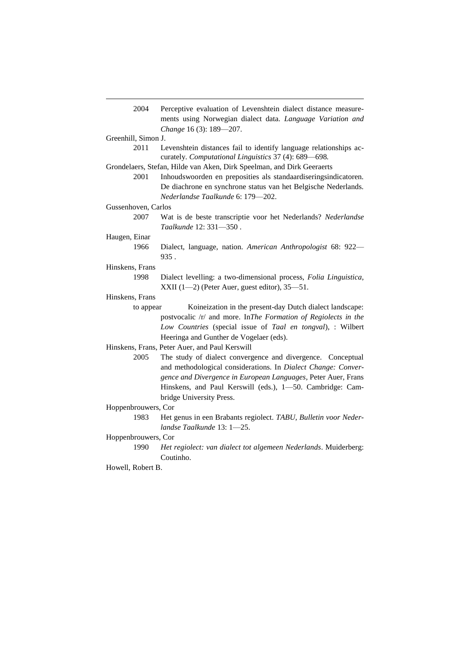2004 [Perceptive evaluation of Levenshtein dialect distance measure](http://www.let.rug.nl/gooskens/pdf/publ_langvarch_2004.pdf)[ments using Norwegian dialect data.](http://www.let.rug.nl/gooskens/pdf/publ_langvarch_2004.pdf) *Language Variation and Change* 16 (3): 189—207.

Greenhill, Simon J.

-

2011 [Levenshtein distances fail to identify language relationships ac](http://simon.net.nz/?p=205)[curately.](http://simon.net.nz/?p=205) *Computational Linguistics* 37 (4): 689—698*.* 

Grondelaers, Stefan, Hilde van Aken, Dirk Speelman, and Dirk Geeraerts

2001 Inhoudswoorden en preposities als standaardiseringsindicatoren. De diachrone en synchrone status van het Belgische Nederlands. *Nederlandse Taalkunde* 6: 179—202.

Gussenhoven, Carlos

2007 Wat is de beste transcriptie voor het Nederlands? *Nederlandse Taalkunde* 12: 331—350 .

#### Haugen, Einar

1966 Dialect, language, nation. *American Anthropologist* 68: 922— 935 .

# Hinskens, Frans

1998 Dialect levelling: a two-dimensional process, *Folia Linguistica*, XXII (1—2) (Peter Auer, guest editor), 35—51.

Hinskens, Frans

- to appear Koineization in the present-day Dutch dialect landscape: postvocalic /r/ and more. In*The Formation of Regiolects in the Low Countries* (special issue of *Taal en tongval*), : Wilbert Heeringa and Gunther de Vogelaer (eds).
- Hinskens, Frans, Peter Auer, and Paul Kerswill
	- 2005 The study of dialect convergence and divergence. Conceptual and methodological considerations. In *Dialect Change: Convergence and Divergence in European Languages,* Peter Auer, Frans Hinskens, and Paul Kerswill (eds.), 1—50. Cambridge: Cambridge University Press.

#### Hoppenbrouwers, Cor

- 1983 Het genus in een Brabants regiolect. *TABU, Bulletin voor Nederlandse Taalkunde* 13: 1—25.
- Hoppenbrouwers, Cor
	- 1990 *Het regiolect: van dialect tot algemeen Nederlands*. Muiderberg: Coutinho.

Howell, Robert B.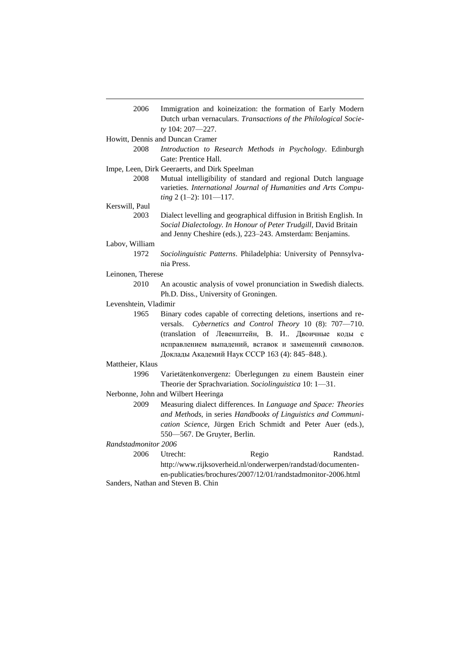| 2006                  | Immigration and koineization: the formation of Early Modern<br>Dutch urban vernaculars. Transactions of the Philological Socie-<br>ty 104: 207-227.                                                                                                                                                       |
|-----------------------|-----------------------------------------------------------------------------------------------------------------------------------------------------------------------------------------------------------------------------------------------------------------------------------------------------------|
|                       | Howitt, Dennis and Duncan Cramer                                                                                                                                                                                                                                                                          |
| 2008                  | Introduction to Research Methods in Psychology. Edinburgh                                                                                                                                                                                                                                                 |
|                       | Gate: Prentice Hall.                                                                                                                                                                                                                                                                                      |
|                       | Impe, Leen, Dirk Geeraerts, and Dirk Speelman                                                                                                                                                                                                                                                             |
| 2008                  | Mutual intelligibility of standard and regional Dutch language<br>varieties. International Journal of Humanities and Arts Compu-<br>$ting 2 (1-2): 101-117.$                                                                                                                                              |
| Kerswill, Paul        |                                                                                                                                                                                                                                                                                                           |
| 2003                  | Dialect levelling and geographical diffusion in British English. In<br>Social Dialectology. In Honour of Peter Trudgill, David Britain<br>and Jenny Cheshire (eds.), 223-243. Amsterdam: Benjamins.                                                                                                       |
| Labov, William        |                                                                                                                                                                                                                                                                                                           |
| 1972                  | Sociolinguistic Patterns. Philadelphia: University of Pennsylva-                                                                                                                                                                                                                                          |
|                       | nia Press.                                                                                                                                                                                                                                                                                                |
| Leinonen, Therese     |                                                                                                                                                                                                                                                                                                           |
| 2010                  | An acoustic analysis of vowel pronunciation in Swedish dialects.<br>Ph.D. Diss., University of Groningen.                                                                                                                                                                                                 |
| Levenshtein, Vladimir |                                                                                                                                                                                                                                                                                                           |
| 1965                  | Binary codes capable of correcting deletions, insertions and re-<br>versals. Cybernetics and Control Theory 10 (8): 707-710.<br>(translation of Левенштейн, В. И Двоичные коды<br>$\mathbf{c}$<br>исправлением выпадений, вставок и замещений символов.<br>Доклады Академий Наук СССР 163 (4): 845-848.). |
| Mattheier, Klaus      |                                                                                                                                                                                                                                                                                                           |
| 1996                  | Varietätenkonvergenz: Überlegungen zu einem Baustein einer                                                                                                                                                                                                                                                |
|                       | Theorie der Sprachvariation. Sociolinguistica 10: 1-31.                                                                                                                                                                                                                                                   |
|                       | Nerbonne, John and Wilbert Heeringa                                                                                                                                                                                                                                                                       |
| 2009                  | Measuring dialect differences. In Language and Space: Theories                                                                                                                                                                                                                                            |
|                       | and Methods, in series Handbooks of Linguistics and Communi-                                                                                                                                                                                                                                              |
|                       | cation Science, Jürgen Erich Schmidt and Peter Auer (eds.),                                                                                                                                                                                                                                               |
|                       | 550-567. De Gruyter, Berlin.                                                                                                                                                                                                                                                                              |
| Randstadmonitor 2006  |                                                                                                                                                                                                                                                                                                           |
| 2006                  | Regio<br>Utrecht:<br>Randstad.                                                                                                                                                                                                                                                                            |
|                       | http://www.rijksoverheid.nl/onderwerpen/randstad/documenten-                                                                                                                                                                                                                                              |
|                       | en-publicaties/brochures/2007/12/01/randstadmonitor-2006.html                                                                                                                                                                                                                                             |

Sanders, Nathan and Steven B. Chin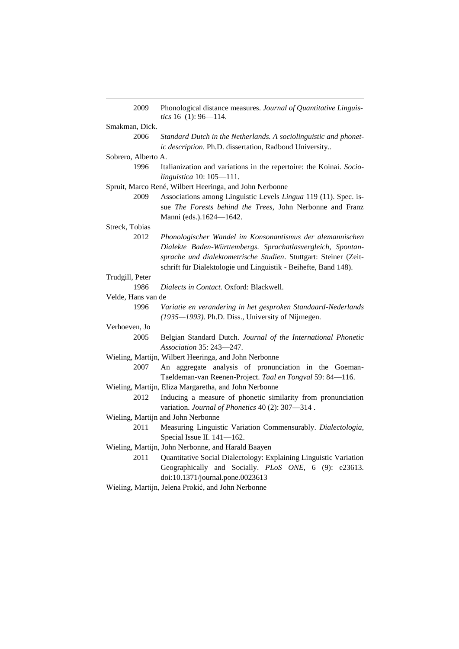| 2009                | Phonological distance measures. Journal of Quantitative Linguis-<br>tics 16 (1): 96-114.                                                                                                                                                                        |
|---------------------|-----------------------------------------------------------------------------------------------------------------------------------------------------------------------------------------------------------------------------------------------------------------|
| Smakman, Dick.      |                                                                                                                                                                                                                                                                 |
| 2006                | Standard Dutch in the Netherlands. A sociolinguistic and phonet-<br>ic description. Ph.D. dissertation, Radboud University                                                                                                                                      |
| Sobrero, Alberto A. |                                                                                                                                                                                                                                                                 |
| 1996                | Italianization and variations in the repertoire: the Koinai. Socio-<br>linguistica 10: 105-111.                                                                                                                                                                 |
|                     | Spruit, Marco René, Wilbert Heeringa, and John Nerbonne                                                                                                                                                                                                         |
| 2009                | Associations among Linguistic Levels Lingua 119 (11). Spec. is-<br>sue The Forests behind the Trees, John Nerbonne and Franz<br>Manni (eds.).1624-1642.                                                                                                         |
| Streck, Tobias      |                                                                                                                                                                                                                                                                 |
| 2012                | Phonologischer Wandel im Konsonantismus der alemannischen<br>Dialekte Baden-Württembergs. Sprachatlasvergleich, Spontan-<br>sprache und dialektometrische Studien. Stuttgart: Steiner (Zeit-<br>schrift für Dialektologie und Linguistik - Beihefte, Band 148). |
| Trudgill, Peter     |                                                                                                                                                                                                                                                                 |
| 1986                | Dialects in Contact. Oxford: Blackwell.                                                                                                                                                                                                                         |
| Velde, Hans van de  |                                                                                                                                                                                                                                                                 |
| 1996                | Variatie en verandering in het gesproken Standaard-Nederlands<br>(1935-1993). Ph.D. Diss., University of Nijmegen.                                                                                                                                              |
| Verhoeven, Jo       |                                                                                                                                                                                                                                                                 |
| 2005                | Belgian Standard Dutch. Journal of the International Phonetic<br>Association 35: 243-247.                                                                                                                                                                       |
|                     | Wieling, Martijn, Wilbert Heeringa, and John Nerbonne                                                                                                                                                                                                           |
| 2007                | An aggregate analysis of pronunciation in the Goeman-<br>Taeldeman-van Reenen-Project. Taal en Tongval 59: 84-116.                                                                                                                                              |
|                     | Wieling, Martijn, Eliza Margaretha, and John Nerbonne                                                                                                                                                                                                           |
| 2012                | Inducing a measure of phonetic similarity from pronunciation<br>variation. Journal of Phonetics 40 (2): 307-314.                                                                                                                                                |
|                     | Wieling, Martijn and John Nerbonne                                                                                                                                                                                                                              |
| 2011                | Measuring Linguistic Variation Commensurably. Dialectologia,<br>Special Issue II. 141-162.                                                                                                                                                                      |
|                     | Wieling, Martijn, John Nerbonne, and Harald Baayen                                                                                                                                                                                                              |
| 2011                | Quantitative Social Dialectology: Explaining Linguistic Variation<br>Geographically and Socially. PLoS ONE, 6 (9): e23613.<br>doi:10.1371/journal.pone.0023613                                                                                                  |
|                     |                                                                                                                                                                                                                                                                 |